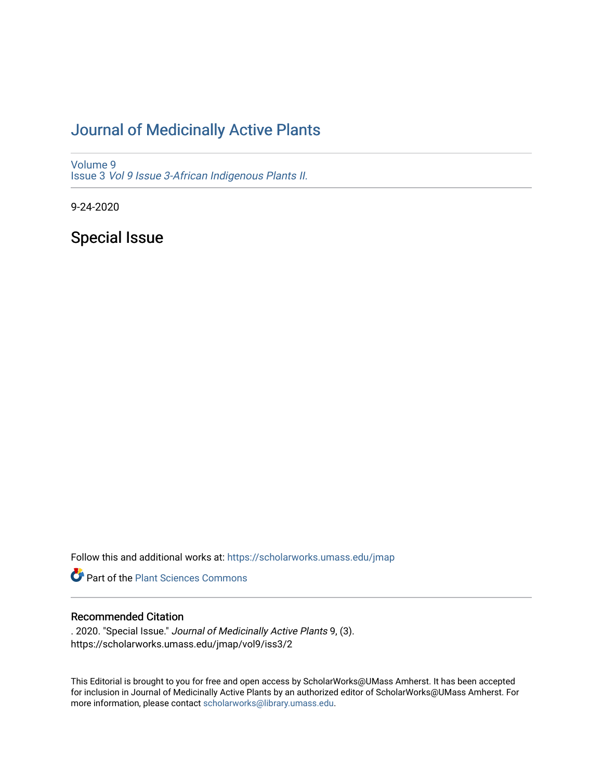## [Journal of Medicinally Active Plants](https://scholarworks.umass.edu/jmap)

[Volume 9](https://scholarworks.umass.edu/jmap/vol9) Issue 3 [Vol 9 Issue 3-African Indigenous Plants II.](https://scholarworks.umass.edu/jmap/vol9/iss3) 

9-24-2020

Special Issue

Follow this and additional works at: [https://scholarworks.umass.edu/jmap](https://scholarworks.umass.edu/jmap?utm_source=scholarworks.umass.edu%2Fjmap%2Fvol9%2Fiss3%2F2&utm_medium=PDF&utm_campaign=PDFCoverPages) 

**Part of the [Plant Sciences Commons](http://network.bepress.com/hgg/discipline/102?utm_source=scholarworks.umass.edu%2Fjmap%2Fvol9%2Fiss3%2F2&utm_medium=PDF&utm_campaign=PDFCoverPages)** 

## Recommended Citation

. 2020. "Special Issue." Journal of Medicinally Active Plants 9, (3). https://scholarworks.umass.edu/jmap/vol9/iss3/2

This Editorial is brought to you for free and open access by ScholarWorks@UMass Amherst. It has been accepted for inclusion in Journal of Medicinally Active Plants by an authorized editor of ScholarWorks@UMass Amherst. For more information, please contact [scholarworks@library.umass.edu](mailto:scholarworks@library.umass.edu).